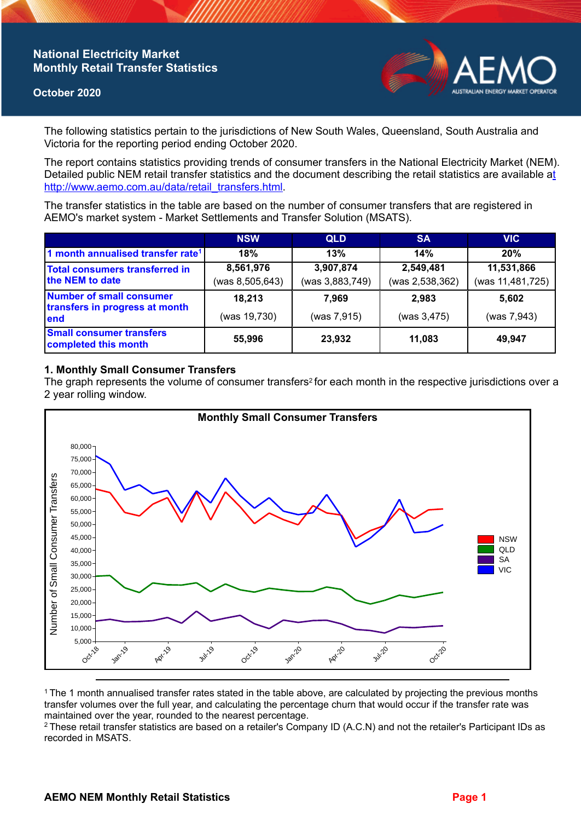## **National Electricity Market Monthly Retail Transfer Statistics**

### **October 2020**



The following statistics pertain to the jurisdictions of New South Wales, Queensland, South Australia and Victoria for the reporting period ending October 2020.

The report contains statistics providing trends of consumer transfers in the National Electricity Market (NEM). Detailed public NEM retail transfer statistics and the document describing the retail statistics are available a[t](http://www.aemo.com.au/data/retail_transfers.html)  http://www.aemo.com.au/data/retail\_transfers.html

The transfer statistics in the table are based on the number of consumer transfers that are registered in AEMO's market system - Market Settlements and Transfer Solution (MSATS).

|                                                                    | <b>NSW</b>      | <b>QLD</b>      | <b>SA</b>       | <b>VIC</b>       |
|--------------------------------------------------------------------|-----------------|-----------------|-----------------|------------------|
| 1 month annualised transfer rate <sup>1</sup>                      | 18%             | 13%             | 14%             | 20%              |
| <b>Total consumers transferred in</b><br>the NEM to date           | 8,561,976       | 3,907,874       | 2,549,481       | 11,531,866       |
|                                                                    | (was 8,505,643) | (was 3,883,749) | (was 2,538,362) | (was 11,481,725) |
| Number of small consumer<br>transfers in progress at month<br>lend | 18,213          | 7.969           | 2.983           | 5,602            |
|                                                                    | (was 19,730)    | (was 7,915)     | (was 3,475)     | (was 7,943)      |
| <b>Small consumer transfers</b><br>completed this month            | 55,996          | 23,932          | 11,083          | 49,947           |

## **1. Monthly Small Consumer Transfers**

The graph represents the volume of consumer transfers<sup>2</sup> for each month in the respective jurisdictions over a 2 year rolling window.



<sup>1</sup>The 1 month annualised transfer rates stated in the table above, are calculated by projecting the previous months transfer volumes over the full year, and calculating the percentage churn that would occur if the transfer rate was maintained over the year, rounded to the nearest percentage.

<sup>2</sup> These retail transfer statistics are based on a retailer's Company ID (A.C.N) and not the retailer's Participant IDs as recorded in MSATS.